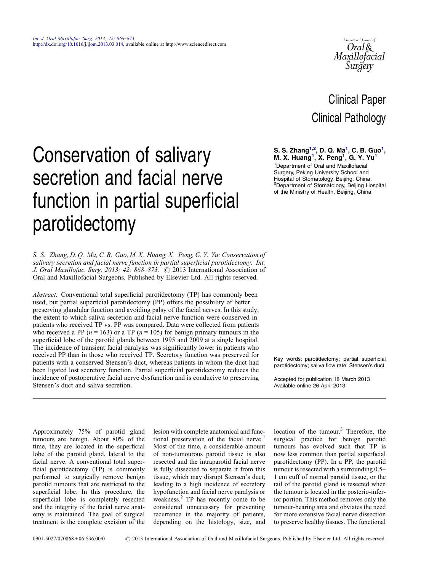# Conservation of salivary secretion and facial nerve function in partial superficial parotidectomy

S. S. Zhang, D. Q. Ma, C. B. Guo, M. X. Huang, X. Peng, G. Y. Yu: Conservation of salivary secretion and facial nerve function in partial superficial parotidectomy. Int. J. Oral Maxillofac. Surg. 2013; 42: 868–873.  $\odot$  2013 International Association of Oral and Maxillofacial Surgeons. Published by Elsevier Ltd. All rights reserved.

Abstract. Conventional total superficial parotidectomy (TP) has commonly been used, but partial superficial parotidectomy (PP) offers the possibility of better preserving glandular function and avoiding palsy of the facial nerves. In this study, the extent to which saliva secretion and facial nerve function were conserved in patients who received TP vs. PP was compared. Data were collected from patients who received a PP ( $n = 163$ ) or a TP ( $n = 105$ ) for benign primary tumours in the superficial lobe of the parotid glands between 1995 and 2009 at a single hospital. The incidence of transient facial paralysis was significantly lower in patients who received PP than in those who received TP. Secretory function was preserved for patients with a conserved Stensen's duct, whereas patients in whom the duct had been ligated lost secretory function. Partial superficial parotidectomy reduces the incidence of postoperative facial nerve dysfunction and is conducive to preserving Stensen's duct and saliva secretion.

S. S. Zhang<sup>1,2</sup>, D. Q. Ma<sup>1</sup>, C. B. Guo<sup>1</sup>, M. X. Huang<sup>1</sup>, X. Peng<sup>1</sup>, G. Y. Yu<sup>1</sup> 1 Department of Oral and Maxillofacial Surgery, Peking University School and Hospital of Stomatology, Beijing, China; <sup>2</sup> <sup>2</sup>Department of Stomatology, Beijing Hospital of the Ministry of Health, Beijing, China

Key words: parotidectomy; partial superficial parotidectomy; saliva flow rate; Stensen's duct.

Accepted for publication 18 March 2013 Available online 26 April 2013

Approximately 75% of parotid gland tumours are benign. About 80% of the time, they are located in the superficial lobe of the parotid gland, lateral to the facial nerve. A conventional total superficial parotidectomy (TP) is commonly performed to surgically remove benign parotid tumours that are restricted to the superficial lobe. In this procedure, the superficial lobe is completely resected and the integrity of the facial nerve anatomy is maintained. The goal of surgical treatment is the complete excision of the

lesion with complete anatomical and func-tional preservation of the facial nerve.<sup>[1](#page-5-0)</sup> Most of the time, a considerable amount of non-tumourous parotid tissue is also resected and the intraparotid facial nerve is fully dissected to separate it from this tissue, which may disrupt Stensen's duct, leading to a high incidence of secretory hypofunction and facial nerve paralysis or weakness.<sup>[2](#page-5-0)</sup> TP has recently come to be considered unnecessary for preventing recurrence in the majority of patients, depending on the histology, size, and

location of the tumour.<sup>[3](#page-5-0)</sup> Therefore, the surgical practice for benign parotid tumours has evolved such that TP is now less common than partial superficial parotidectomy (PP). In a PP, the parotid tumour is resected with a surrounding 0.5– 1 cm cuff of normal parotid tissue, or the tail of the parotid gland is resected when the tumour is located in the posterio-inferior portion. This method removes only the tumour-bearing area and obviates the need for more extensive facial nerve dissection to preserve healthy tissues. The functional

# Oral<br>Maxillofacial<br>Surgery

Clinical Paper Clinical Pathology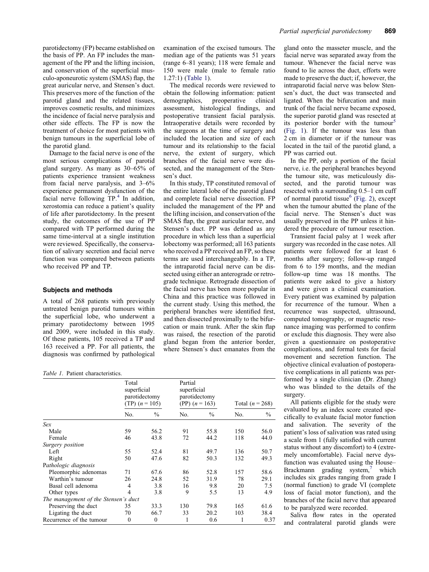parotidectomy (FP) became established on the basis of PP. An FP includes the management of the PP and the lifting incision, and conservation of the superficial musculo-aponeurotic system (SMAS) flap, the great auricular nerve, and Stensen's duct. This preserves more of the function of the parotid gland and the related tissues, improves cosmetic results, and minimizes the incidence of facial nerve paralysis and other side effects. The FP is now the treatment of choice for most patients with benign tumours in the superficial lobe of the parotid gland.

Damage to the facial nerve is one of the most serious complications of parotid gland surgery. As many as 30–65% of patients experience transient weakness from facial nerve paralysis, and 3–6% experience permanent dysfunction of the facial nerve following TP.<sup>[4](#page-5-0)</sup> In addition, xerostomia can reduce a patient's quality of life after parotidectomy. In the present study, the outcomes of the use of PP compared with TP performed during the same time-interval at a single institution were reviewed. Specifically, the conservation of salivary secretion and facial nerve function was compared between patients who received PP and TP.

#### Subjects and methods

A total of 268 patients with previously untreated benign parotid tumours within the superficial lobe, who underwent a primary parotidectomy between 1995 and 2009, were included in this study. Of these patients, 105 received a TP and 163 received a PP. For all patients, the diagnosis was confirmed by pathological

Table 1. Patient characteristics.

|                                      | Total<br>superficial<br>parotidectomy<br>(TP) $(n = 105)$ |               | Partial | superficial<br>parotidectomy<br>(PP) $(n = 163)$ |     |                   |
|--------------------------------------|-----------------------------------------------------------|---------------|---------|--------------------------------------------------|-----|-------------------|
|                                      |                                                           |               |         |                                                  |     | Total $(n = 268)$ |
|                                      | No.                                                       | $\frac{0}{0}$ | No.     | $\frac{0}{0}$                                    | No. | $\%$              |
| Sex                                  |                                                           |               |         |                                                  |     |                   |
| Male                                 | 59                                                        | 56.2          | 91      | 55.8                                             | 150 | 56.0              |
| Female                               | 46                                                        | 43.8          | 72      | 44.2                                             | 118 | 44.0              |
| Surgery position                     |                                                           |               |         |                                                  |     |                   |
| Left                                 | 55                                                        | 52.4          | 81      | 49.7                                             | 136 | 50.7              |
| Right                                | 50                                                        | 47.6          | 82      | 50.3                                             | 132 | 49.3              |
| Pathologic diagnosis                 |                                                           |               |         |                                                  |     |                   |
| Pleomorphic adenomas                 | 71                                                        | 67.6          | 86      | 52.8                                             | 157 | 58.6              |
| Warthin's tumour                     | 26                                                        | 24.8          | 52      | 31.9                                             | 78  | 29.1              |
| Basal cell adenoma                   | 4                                                         | 3.8           | 16      | 9.8                                              | 20  | 7.5               |
| Other types                          | 4                                                         | 3.8           | 9       | 5.5                                              | 13  | 4.9               |
| The management of the Stensen's duct |                                                           |               |         |                                                  |     |                   |
| Preserving the duct                  | 35                                                        | 33.3          | 130     | 79.8                                             | 165 | 61.6              |
| Ligating the duct                    | 70                                                        | 66.7          | 33      | 20.2                                             | 103 | 38.4              |
| Recurrence of the tumour             | $\mathbf{0}$                                              | $\mathbf{0}$  |         | 0.6                                              |     | 0.37              |

examination of the excised tumours. The median age of the patients was 51 years (range 6–81 years); 118 were female and 150 were male (male to female ratio 1.27:1) (Table 1).

The medical records were reviewed to obtain the following information: patient demographics, preoperative clinical assessment, histological findings, and postoperative transient facial paralysis. Intraoperative details were recorded by the surgeons at the time of surgery and included the location and size of each tumour and its relationship to the facial nerve, the extent of surgery, which branches of the facial nerve were dissected, and the management of the Stensen's duct.

In this study, TP constituted removal of the entire lateral lobe of the parotid gland and complete facial nerve dissection. FP included the management of the PP and the lifting incision, and conservation of the SMAS flap, the great auricular nerve, and Stensen's duct. PP was defined as any procedure in which less than a superficial lobectomy was performed; all 163 patients who received a PP received an FP, so these terms are used interchangeably. In a TP, the intraparotid facial nerve can be dissected using either an anterograde or retrograde technique. Retrograde dissection of the facial nerve has been more popular in China and this practice was followed in the current study. Using this method, the peripheral branches were identified first, and then dissected proximally to the bifurcation or main trunk. After the skin flap was raised, the resection of the parotid gland began from the anterior border, where Stensen's duct emanates from the

gland onto the masseter muscle, and the facial nerve was separated away from the tumour. Whenever the facial nerve was found to lie across the duct, efforts were made to preserve the duct; if, however, the intraparotid facial nerve was below Stensen's duct, the duct was transected and ligated. When the bifurcation and main trunk of the facial nerve became exposed, the superior parotid gland was resected at its posterior border with the tumour<sup>[5](#page-5-0)</sup> [\(Fig.](#page-2-0) 1). If the tumour was less than 2 cm in diameter or if the tumour was located in the tail of the parotid gland, a PP was carried out.

In the PP, only a portion of the facial nerve, i.e. the peripheral branches beyond the tumour site, was meticulously dissected, and the parotid tumour was resected with a surrounding 0.5–1 cm cuff of normal parotid tissue $^6$  $^6$  ([Fig.](#page-2-0) 2), except when the tumour abutted the plane of the facial nerve. The Stensen's duct was usually preserved in the PP unless it hindered the procedure of tumour resection.

Transient facial palsy at 1 week after surgery was recorded in the case notes. All patients were followed for at least 6 months after surgery; follow-up ranged from 6 to 159 months, and the median follow-up time was 18 months. The patients were asked to give a history and were given a clinical examination. Every patient was examined by palpation for recurrence of the tumour. When a recurrence was suspected, ultrasound, computed tomography, or magnetic resonance imaging was performed to confirm or exclude this diagnosis. They were also given a questionnaire on postoperative complications, and formal tests for facial movement and secretion function. The objective clinical evaluation of postoperative complications in all patients was performed by a single clinician (Dr. Zhang) who was blinded to the details of the surgery.

All patients eligible for the study were evaluated by an index score created specifically to evaluate facial motor function and salivation. The severity of the patient's loss of salivation was rated using a scale from 1 (fully satisfied with current status without any discomfort) to 4 (extremely uncomfortable). Facial nerve dysfunction was evaluated using the House– Brackmann grading system,<sup>[7](#page-5-0)</sup> which includes six grades ranging from grade I (normal function) to grade VI (complete loss of facial motor function), and the branches of the facial nerve that appeared to be paralyzed were recorded.

Saliva flow rates in the operated and contralateral parotid glands were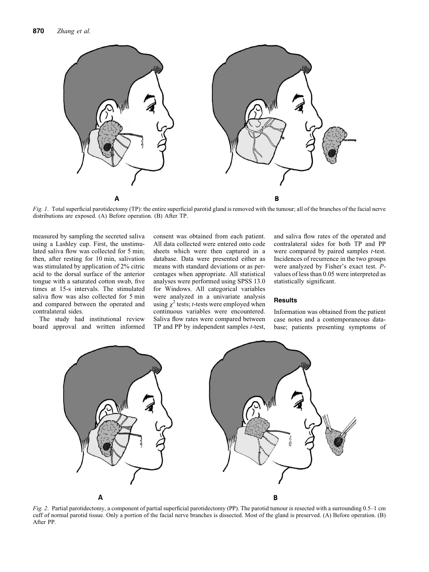<span id="page-2-0"></span>

Fig. 1. Total superficial parotidectomy (TP): the entire superficial parotid gland is removed with the tumour; all of the branches of the facial nerve distributions are exposed. (A) Before operation. (B) After TP.

measured by sampling the secreted saliva using a Lashley cup. First, the unstimulated saliva flow was collected for 5 min; then, after resting for 10 min, salivation was stimulated by application of 2% citric acid to the dorsal surface of the anterior tongue with a saturated cotton swab, five times at 15-s intervals. The stimulated saliva flow was also collected for 5 min and compared between the operated and contralateral sides.

The study had institutional review board approval and written informed consent was obtained from each patient. All data collected were entered onto code sheets which were then captured in a database. Data were presented either as means with standard deviations or as percentages when appropriate. All statistical analyses were performed using SPSS 13.0 for Windows. All categorical variables were analyzed in a univariate analysis using  $\chi^2$  tests; *t*-tests were employed when continuous variables were encountered. Saliva flow rates were compared between TP and PP by independent samples *t*-test,

and saliva flow rates of the operated and contralateral sides for both TP and PP were compared by paired samples *t*-test. Incidences of recurrence in the two groups were analyzed by Fisher's exact test. Pvalues of less than 0.05 were interpreted as statistically significant.

#### **Results**

Information was obtained from the patient case notes and a contemporaneous database; patients presenting symptoms of



Fig. 2. Partial parotidectomy, a component of partial superficial parotidectomy (PP). The parotid tumour is resected with a surrounding 0.5–1 cm cuff of normal parotid tissue. Only a portion of the facial nerve branches is dissected. Most of the gland is preserved. (A) Before operation. (B) After PP.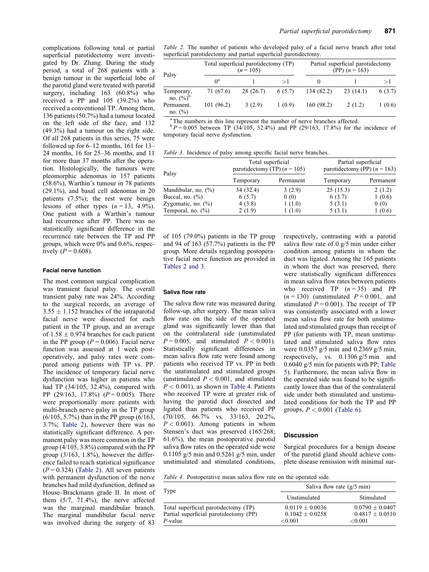complications following total or partial superficial parotidectomy were investigated by Dr. Zhang. During the study period, a total of 268 patients with a benign tumour in the superficial lobe of the parotid gland were treated with parotid surgery, including 163 (60.8%) who received a PP and 105 (39.2%) who received a conventional TP. Among them, 136 patients (50.7%) had a tumour located on the left side of the face, and 132 (49.3%) had a tumour on the right side. Of all 268 patients in this series, 75 were followed up for 6–12 months, 161 for 13– 24 months, 16 for 25–36 months, and 11 for more than 37 months after the operation. Histologically, the tumours were pleomorphic adenomas in 157 patients (58.6%), Warthin's tumour in 78 patients (29.1%), and basal cell adenomas in 20 patients (7.5%); the rest were benign lesions of other types  $(n = 13, 4.9\%)$ . One patient with a Warthin's tumour had recurrence after PP. There was no statistically significant difference in the recurrence rate between the TP and PP groups, which were 0% and 0.6%, respectively ( $P = 0.608$ ).

#### Facial nerve function

The most common surgical complication was transient facial palsy. The overall transient palsy rate was 24%. According to the surgical records, an average of  $3.55 \pm 1.152$  branches of the intraparotid facial nerve were dissected for each patient in the TP group, and an average of  $1.58 \pm 0.974$  branches for each patient in the PP group ( $P = 0.006$ ). Facial nerve function was assessed at 1 week postoperatively, and palsy rates were compared among patients with TP vs. PP. The incidence of temporary facial nerve dysfunction was higher in patients who had TP (34/105, 32.4%), compared with PP (29/163, 17.8%) ( $P = 0.005$ ). There were proportionally more patients with multi-branch nerve palsy in the TP group (6/105, 5.7%) than in the PP group (6/163, 3.7%; Table 2), however there was no statistically significant difference. A permanent palsy was more common in the TP group (4/105, 3.8%) compared with the PP group (3/163, 1.8%), however the difference failed to reach statistical significance  $(P = 0.324)$  (Table 2). All seven patients with permanent dysfunction of the nerve branches had mild dysfunction, defined as House–Brackmann grade II. In most of them (5/7, 71.4%), the nerve affected was the marginal mandibular branch. The marginal mandibular facial nerve was involved during the surgery of 83

Table 2. The number of patients who developed palsy of a facial nerve branch after total superficial parotidectomy and partial superficial parotidectomy.

| Palsy                     |            | Total superficial parotidectomy (TP)<br>$(n = 105)$ |        |            | Partial superficial parotidectomy<br>(PP) $(n = 163)$ |        |
|---------------------------|------------|-----------------------------------------------------|--------|------------|-------------------------------------------------------|--------|
|                           | $0^a$      |                                                     | >1     |            |                                                       | >1     |
| Temporary, no. $(\%)^b$   | 71 (67.6)  | 28(26.7)                                            | 6(5.7) | 134 (82.2) | 23(14.1)                                              | 6(3.7) |
| Permanent,<br>no. $(\% )$ | 101 (96.2) | 3(2.9)                                              | 1(0.9) | 160 (98.2) | 2(1.2)                                                | 1(0.6) |

<sup>a</sup> The numbers in this line represent the number of nerve branches affected.<br><sup>b</sup> P = 0.005 between TP (34/105, 32.4%) and PP (29/163, 17.8%) for the incidence of temporary facial nerve dysfunction.

| <i>Table 3.</i> Incidence of palsy among specific facial nerve branches. |  |  |  |
|--------------------------------------------------------------------------|--|--|--|
|                                                                          |  |  |  |

| Palsy                  |           | Partial superficial<br>Total superficial<br>parotidectomy (TP) $(n = 105)$<br>parotidectomy (PP) $(n = 163)$ |           |           |
|------------------------|-----------|--------------------------------------------------------------------------------------------------------------|-----------|-----------|
|                        | Temporary | Permanent                                                                                                    | Temporary | Permanent |
| Mandibular, no. $(\%)$ | 34 (32.4) | 3(2.9)                                                                                                       | 25(15.3)  | 2(1.2)    |
| Buccal, no. $(\%)$     | 6(5.7)    | 0(0)                                                                                                         | 6(3.7)    | 1(0.6)    |
| Zygomatic, no. $(\% )$ | 4(3.8)    | 1(1.0)                                                                                                       | 5(3.1)    | 0(0)      |
| Temporal, no. $(\% )$  | 2(1.9)    | 1(1.0)                                                                                                       | 5(3.1)    | 1(0.6)    |

of 105 (79.0%) patients in the TP group and 94 of 163 (57.7%) patients in the PP group. More details regarding postoperative facial nerve function are provided in Tables 2 and 3.

#### Saliva flow rate

The saliva flow rate was measured during follow-up, after surgery. The mean saliva flow rate on the side of the operated gland was significantly lower than that on the contralateral side (unstimulated  $P = 0.005$ , and stimulated  $P < 0.001$ ). Statistically significant differences in mean saliva flow rate were found among patients who received TP vs. PP in both the unstimulated and stimulated groups (unstimulated  $P < 0.001$ , and stimulated  $P < 0.001$ ), as shown in Table 4. Patients who received TP were at greater risk of having the parotid duct dissected and ligated than patients who received PP (70/105, 66.7% vs. 33/163, 20.2%,  $P < 0.001$ ). Among patients in whom Stensen's duct was preserved (165/268; 61.6%), the mean postoperative parotid saliva flow rates on the operated side were 0.1105 g/5 min and 0.5261 g/5 min, under unstimulated and stimulated conditions,

respectively, contrasting with a parotid saliva flow rate of 0 g/5 min under either condition among patients in whom the duct was ligated. Among the 165 patients in whom the duct was preserved, there were statistically significant differences in mean saliva flow rates between patients who received TP  $(n = 35)$  and PP  $(n = 130)$  (unstimulated  $P = 0.001$ , and stimulated  $P = 0.001$ ). The receipt of TP was consistently associated with a lower mean saliva flow rate for both unstimulated and stimulated groups than receipt of PP (for patients with TP, mean unstimulated and stimulated saliva flow rates were 0.0357 g/5 min and 0.2369 g/5 min, respectively, vs. 0.1306 g/5 min and 0.6040 g/5 min for patients with PP; [Table](#page-4-0) [5\)](#page-4-0). Furthermore, the mean saliva flow in the operated side was found to be significantly lower than that of the contralateral side under both stimulated and unstimulated conditions for both the TP and PP groups,  $P < 0.001$  ([Table](#page-4-0) 6).

#### **Discussion**

Surgical procedures for a benign disease of the parotid gland should achieve complete disease remission with minimal sur-

Table 4. Postoperative mean saliva flow rate on the operated side.

| Type                                   | Saliva flow rate $(g/5 \text{ min})$ |                     |  |  |
|----------------------------------------|--------------------------------------|---------------------|--|--|
|                                        | Unstimulated                         | Stimulated          |  |  |
| Total superficial parotidectomy (TP)   | $0.0119 \pm 0.0036$                  | $0.0790 \pm 0.0407$ |  |  |
| Partial superficial parotidectomy (PP) | $0.1042 \pm 0.0258$                  | $0.4817 \pm 0.0510$ |  |  |
| P-value                                | < 0.001                              | ${<}0.001$          |  |  |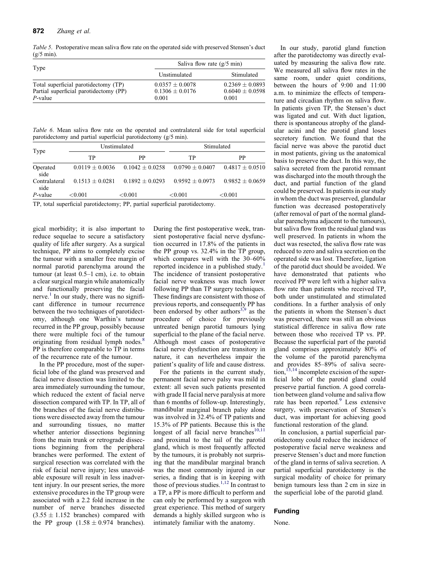#### <span id="page-4-0"></span>872 Zhang et al.

Table 5. Postoperative mean saliva flow rate on the operated side with preserved Stensen's duct (g/5 min).

| Type                                   | Saliva flow rate $(g/5 \text{ min})$ |                     |  |  |
|----------------------------------------|--------------------------------------|---------------------|--|--|
|                                        | Unstimulated                         | Stimulated          |  |  |
| Total superficial parotidectomy (TP)   | $0.0357 \pm 0.0078$                  | $0.2369 \pm 0.0893$ |  |  |
| Partial superficial parotidectomy (PP) | $0.1306 \pm 0.0176$                  | $0.6040 \pm 0.0598$ |  |  |
| $P$ -value                             | 0.001                                | 0.001               |  |  |

Table 6. Mean saliva flow rate on the operated and contralateral side for total superficial parotidectomy and partial superficial parotidectomy (g/5 min).

| Type                  |                   | Unstimulated      | Stimulated          |                     |  |
|-----------------------|-------------------|-------------------|---------------------|---------------------|--|
|                       | ТP                | РP                | TР                  | PP                  |  |
| Operated<br>side      | $0.0119 + 0.0036$ | $0.1042 + 0.0258$ | $0.0790 \pm 0.0407$ | $0.4817 + 0.0510$   |  |
| Contralateral<br>side | $0.1513 + 0.0281$ | $0.1892 + 0.0293$ | $0.9592 + 0.0973$   | $0.9852 \pm 0.0659$ |  |
| $P$ -value            | <0.001            | ${<}0.001$        | ${<}0.001$          | ${<}0.001$          |  |

TP, total superficial parotidectomy; PP, partial superficial parotidectomy.

gical morbidity; it is also important to reduce sequelae to secure a satisfactory quality of life after surgery. As a surgical technique, PP aims to completely excise the tumour with a smaller free margin of normal parotid parenchyma around the tumour (at least 0.5–1 cm), i.e. to obtain a clear surgical margin while anatomically and functionally preserving the facial nerve.<sup>[1](#page-5-0)</sup> In our study, there was no significant difference in tumour recurrence between the two techniques of parotidectomy, although one Warthin's tumour recurred in the PP group, possibly because there were multiple foci of the tumour originating from residual lymph nodes. $\delta$ PP is therefore comparable to TP in terms of the recurrence rate of the tumour.

In the PP procedure, most of the superficial lobe of the gland was preserved and facial nerve dissection was limited to the area immediately surrounding the tumour, which reduced the extent of facial nerve dissection compared with TP. In TP, all of the branches of the facial nerve distributions were dissected away from the tumour and surrounding tissues, no matter whether anterior dissections beginning from the main trunk or retrograde dissections beginning from the peripheral branches were performed. The extent of surgical resection was correlated with the risk of facial nerve injury; less unavoidable exposure will result in less inadvertent injury. In our present series, the more extensive procedures in the TP group were associated with a 2.2 fold increase in the number of nerve branches dissected  $(3.55 \pm 1.152$  branches) compared with the PP group  $(1.58 \pm 0.974$  branches).

During the first postoperative week, transient postoperative facial nerve dysfunction occurred in 17.8% of the patients in the PP group vs. 32.4% in the TP group, which compares well with the 30–60% reported incidence in a published study.<sup>[1](#page-5-0)</sup> The incidence of transient postoperative facial nerve weakness was much lower following PP than TP surgery techniques. These findings are consistent with those of previous reports, and consequently PP has been endorsed by other authors $3,9$  as the procedure of choice for previously untreated benign parotid tumours lying superficial to the plane of the facial nerve. Although most cases of postoperative facial nerve dysfunction are transitory in nature, it can nevertheless impair the patient's quality of life and cause distress.

For the patients in the current study, permanent facial nerve palsy was mild in extent: all seven such patients presented with grade II facial nerve paralysis at more than 6 months of follow-up. Interestingly, mandibular marginal branch palsy alone was involved in 32.4% of TP patients and 15.3% of PP patients. Because this is the longest of all facial nerve branches<sup>[10,11](#page-5-0)</sup> and proximal to the tail of the parotid gland, which is most frequently affected by the tumours, it is probably not surprising that the mandibular marginal branch was the most commonly injured in our series, a finding that is in keeping with those of previous studies.<sup>[1,12](#page-5-0)</sup> In contrast to a TP, a PP is more difficult to perform and can only be performed by a surgeon with great experience. This method of surgery demands a highly skilled surgeon who is intimately familiar with the anatomy.

In our study, parotid gland function after the parotidectomy was directly evaluated by measuring the saliva flow rate. We measured all saliva flow rates in the same room, under quiet conditions, between the hours of 9:00 and 11:00 a.m. to minimize the effects of temperature and circadian rhythm on saliva flow. In patients given TP, the Stensen's duct was ligated and cut. With duct ligation, there is spontaneous atrophy of the glandular acini and the parotid gland loses secretory function. We found that the facial nerve was above the parotid duct in most patients, giving us the anatomical basis to preserve the duct. In this way, the saliva secreted from the parotid remnant was discharged into the mouth through the duct, and partial function of the gland could be preserved. In patients in our study in whom the duct was preserved, glandular function was decreased postoperatively (after removal of part of the normal glandular parenchyma adjacent to the tumours), but saliva flow from the residual gland was well preserved. In patients in whom the duct was resected, the saliva flow rate was reduced to zero and saliva secretion on the operated side was lost. Therefore, ligation of the parotid duct should be avoided. We have demonstrated that patients who received PP were left with a higher saliva flow rate than patients who received TP, both under unstimulated and stimulated conditions. In a further analysis of only the patients in whom the Stensen's duct was preserved, there was still an obvious statistical difference in saliva flow rate between those who received TP vs. PP. Because the superficial part of the parotid gland comprises approximately 80% of the volume of the parotid parenchyma and provides 85–89% of saliva secretion,  $13,14$  incomplete excision of the superficial lobe of the parotid gland could preserve partial function. A good correlation between gland volume and saliva flow rate has been reported.<sup>[9](#page-5-0)</sup> Less extensive surgery, with preservation of Stensen's duct, was important for achieving good functional restoration of the gland.

In conclusion, a partial superficial parotidectomy could reduce the incidence of postoperative facial nerve weakness and preserve Stensen's duct and more function of the gland in terms of saliva secretion. A partial superficial parotidectomy is the surgical modality of choice for primary benign tumours less than 2 cm in size in the superficial lobe of the parotid gland.

## Funding

None.